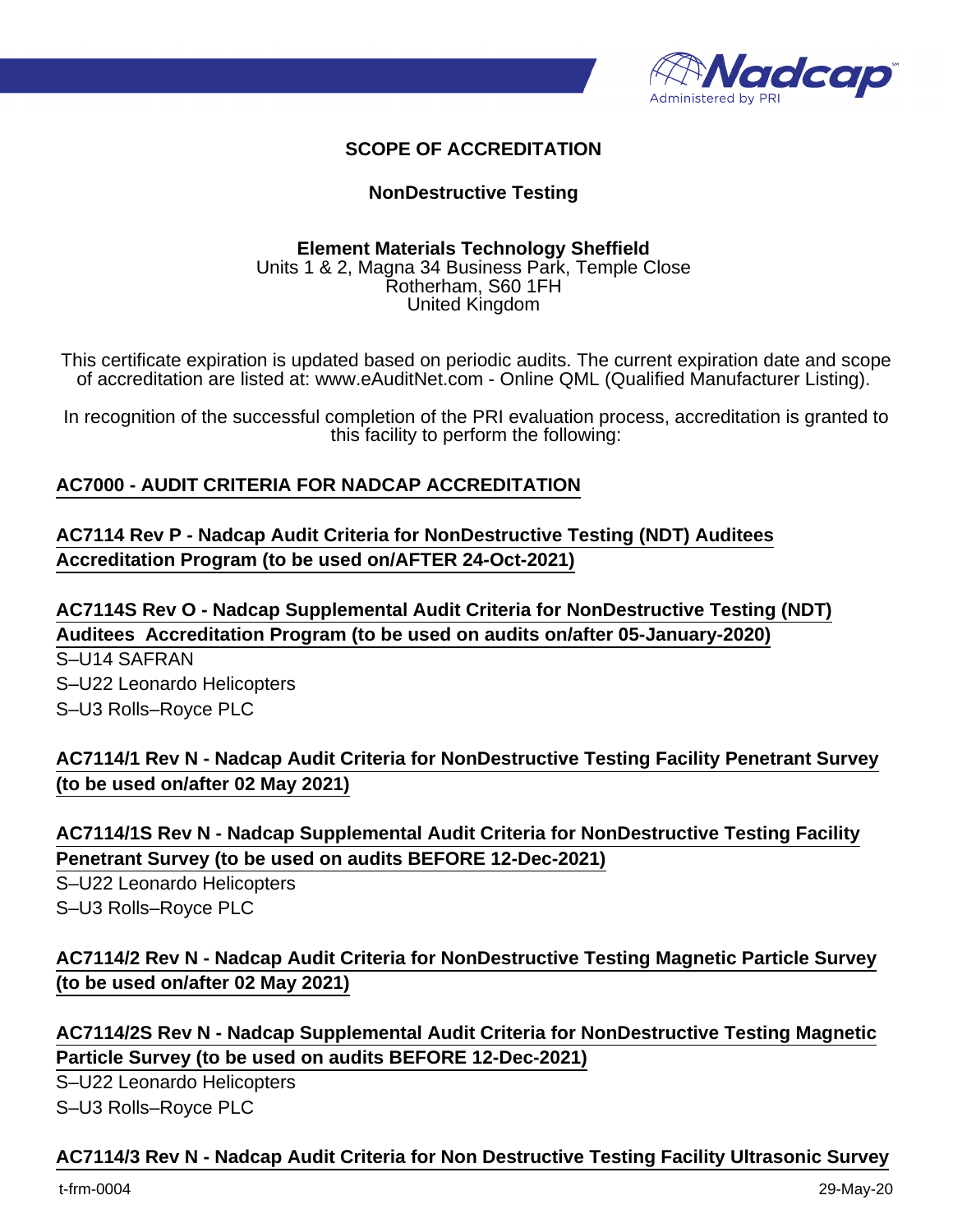

# **SCOPE OF ACCREDITATION**

## **NonDestructive Testing**

#### **Element Materials Technology Sheffield** Units 1 & 2, Magna 34 Business Park, Temple Close Rotherham, S60 1FH United Kingdom

This certificate expiration is updated based on periodic audits. The current expiration date and scope of accreditation are listed at: www.eAuditNet.com - Online QML (Qualified Manufacturer Listing).

In recognition of the successful completion of the PRI evaluation process, accreditation is granted to this facility to perform the following:

### **AC7000 - AUDIT CRITERIA FOR NADCAP ACCREDITATION**

# **AC7114 Rev P - Nadcap Audit Criteria for NonDestructive Testing (NDT) Auditees Accreditation Program (to be used on/AFTER 24-Oct-2021)**

**AC7114S Rev O - Nadcap Supplemental Audit Criteria for NonDestructive Testing (NDT) Auditees Accreditation Program (to be used on audits on/after 05-January-2020)**

S–U14 SAFRAN S–U22 Leonardo Helicopters S–U3 Rolls–Royce PLC

**AC7114/1 Rev N - Nadcap Audit Criteria for NonDestructive Testing Facility Penetrant Survey (to be used on/after 02 May 2021)**

**AC7114/1S Rev N - Nadcap Supplemental Audit Criteria for NonDestructive Testing Facility Penetrant Survey (to be used on audits BEFORE 12-Dec-2021)**

S–U22 Leonardo Helicopters S–U3 Rolls–Royce PLC

**AC7114/2 Rev N - Nadcap Audit Criteria for NonDestructive Testing Magnetic Particle Survey (to be used on/after 02 May 2021)**

**AC7114/2S Rev N - Nadcap Supplemental Audit Criteria for NonDestructive Testing Magnetic Particle Survey (to be used on audits BEFORE 12-Dec-2021)**

S–U22 Leonardo Helicopters S–U3 Rolls–Royce PLC

#### **AC7114/3 Rev N - Nadcap Audit Criteria for Non Destructive Testing Facility Ultrasonic Survey**

t-frm-0004 29-May-20